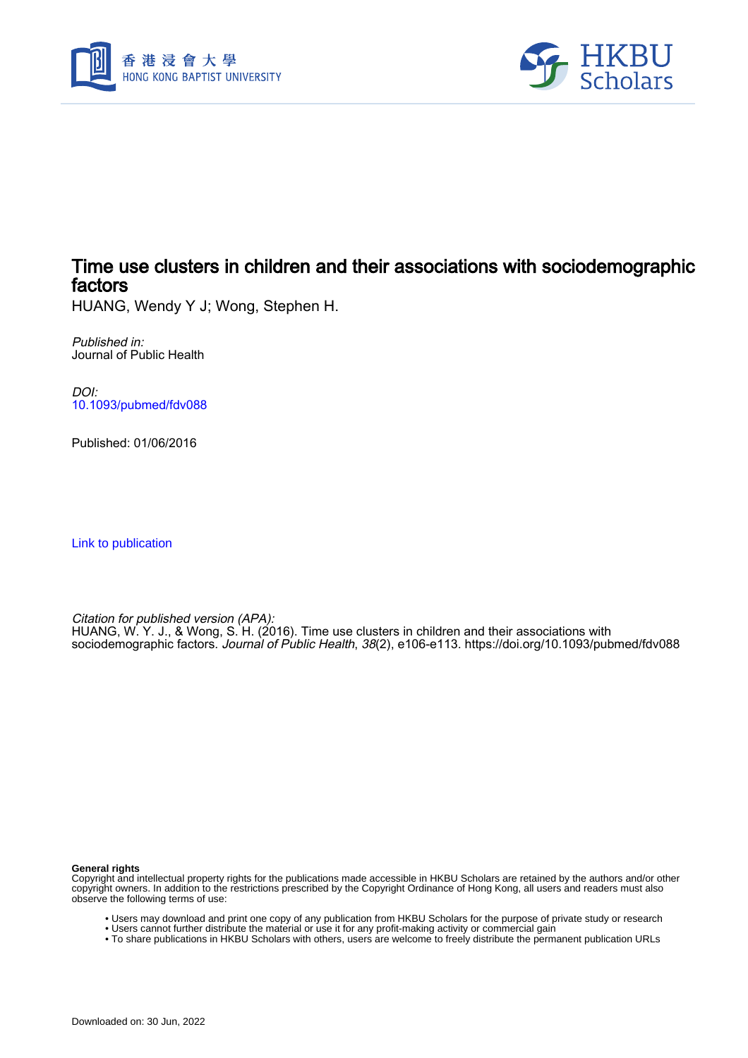



# Time use clusters in children and their associations with sociodemographic factors

HUANG, Wendy Y J; Wong, Stephen H.

Published in: Journal of Public Health

DOI: [10.1093/pubmed/fdv088](https://doi.org/10.1093/pubmed/fdv088)

Published: 01/06/2016

[Link to publication](https://scholars.hkbu.edu.hk/en/publications/da3ee5d1-d3ca-4b61-a259-267681eb96ad)

Citation for published version (APA): HUANG, W. Y. J., & Wong, S. H. (2016). Time use clusters in children and their associations with sociodemographic factors. Journal of Public Health, 38(2), e106-e113. <https://doi.org/10.1093/pubmed/fdv088>

**General rights**

Copyright and intellectual property rights for the publications made accessible in HKBU Scholars are retained by the authors and/or other copyright owners. In addition to the restrictions prescribed by the Copyright Ordinance of Hong Kong, all users and readers must also observe the following terms of use:

- Users may download and print one copy of any publication from HKBU Scholars for the purpose of private study or research
- Users cannot further distribute the material or use it for any profit-making activity or commercial gain
- To share publications in HKBU Scholars with others, users are welcome to freely distribute the permanent publication URLs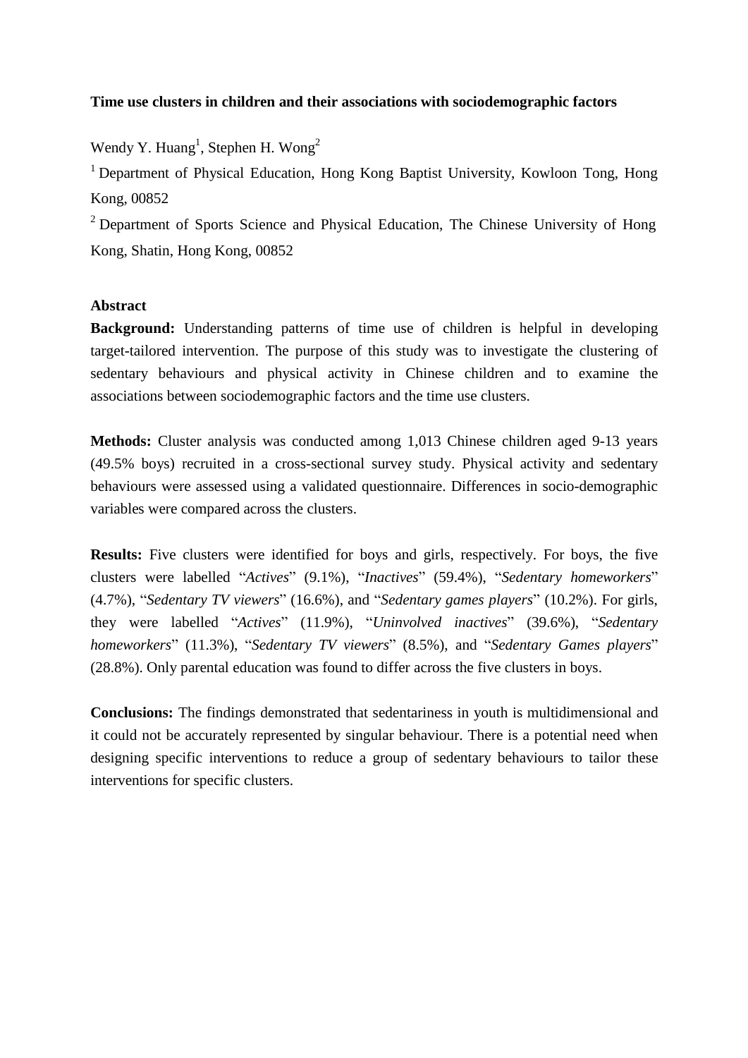# **Time use clusters in children and their associations with sociodemographic factors**

Wendy Y. Huang<sup>1</sup>, Stephen H. Wong<sup>2</sup>

<sup>1</sup> Department of Physical Education, Hong Kong Baptist University, Kowloon Tong, Hong Kong, 00852

<sup>2</sup> Department of Sports Science and Physical Education, The Chinese University of Hong Kong, Shatin, Hong Kong, 00852

# **Abstract**

**Background:** Understanding patterns of time use of children is helpful in developing target-tailored intervention. The purpose of this study was to investigate the clustering of sedentary behaviours and physical activity in Chinese children and to examine the associations between sociodemographic factors and the time use clusters.

**Methods:** Cluster analysis was conducted among 1,013 Chinese children aged 9-13 years (49.5% boys) recruited in a cross-sectional survey study. Physical activity and sedentary behaviours were assessed using a validated questionnaire. Differences in socio-demographic variables were compared across the clusters.

**Results:** Five clusters were identified for boys and girls, respectively. For boys, the five clusters were labelled "*Actives*" (9.1%), "*Inactives*" (59.4%), "*Sedentary homeworkers*" (4.7%), "*Sedentary TV viewers*" (16.6%), and "*Sedentary games players*" (10.2%). For girls, they were labelled "*Actives*" (11.9%), "*Uninvolved inactives*" (39.6%), "*Sedentary homeworkers*" (11.3%), "*Sedentary TV viewers*" (8.5%), and "*Sedentary Games players*" (28.8%). Only parental education was found to differ across the five clusters in boys.

**Conclusions:** The findings demonstrated that sedentariness in youth is multidimensional and it could not be accurately represented by singular behaviour. There is a potential need when designing specific interventions to reduce a group of sedentary behaviours to tailor these interventions for specific clusters.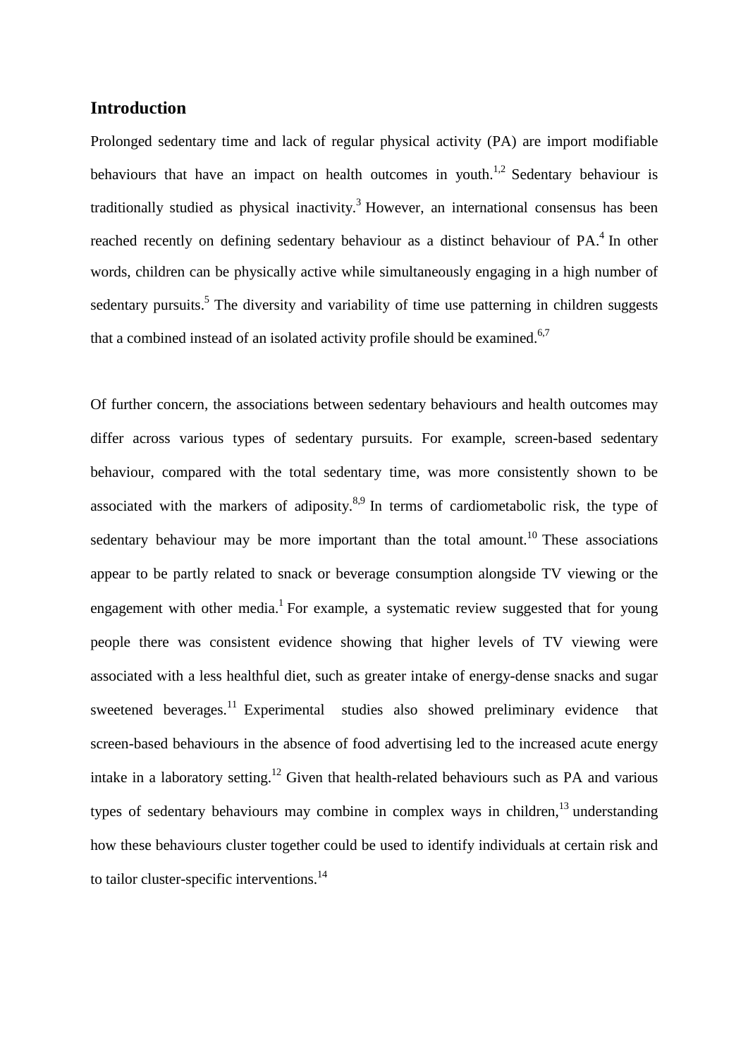# **Introduction**

Prolonged sedentary time and lack of regular physical activity (PA) are import modifiable behaviours that have an impact on health outcomes in youth.<sup>1,2</sup> Sedentary behaviour is traditionally studied as physical inactivity.<sup>3</sup> However, an international consensus has been reached recently on defining sedentary behaviour as a distinct behaviour of PA.<sup>4</sup> In other words, children can be physically active while simultaneously engaging in a high number of sedentary pursuits.<sup>5</sup> The diversity and variability of time use patterning in children suggests that a combined instead of an isolated activity profile should be examined.<sup>6,7</sup>

Of further concern, the associations between sedentary behaviours and health outcomes may differ across various types of sedentary pursuits. For example, screen-based sedentary behaviour, compared with the total sedentary time, was more consistently shown to be associated with the markers of adiposity.<sup>8,9</sup> In terms of cardiometabolic risk, the type of sedentary behaviour may be more important than the total amount.<sup>10</sup> These associations appear to be partly related to snack or beverage consumption alongside TV viewing or the engagement with other media.<sup>1</sup> For example, a systematic review suggested that for young people there was consistent evidence showing that higher levels of TV viewing were associated with a less healthful diet, such as greater intake of energy-dense snacks and sugar sweetened beverages.<sup>11</sup> Experimental studies also showed preliminary evidence that screen-based behaviours in the absence of food advertising led to the increased acute energy intake in a laboratory setting.<sup>12</sup> Given that health-related behaviours such as PA and various types of sedentary behaviours may combine in complex ways in children,<sup>13</sup> understanding how these behaviours cluster together could be used to identify individuals at certain risk and to tailor cluster-specific interventions.<sup>14</sup>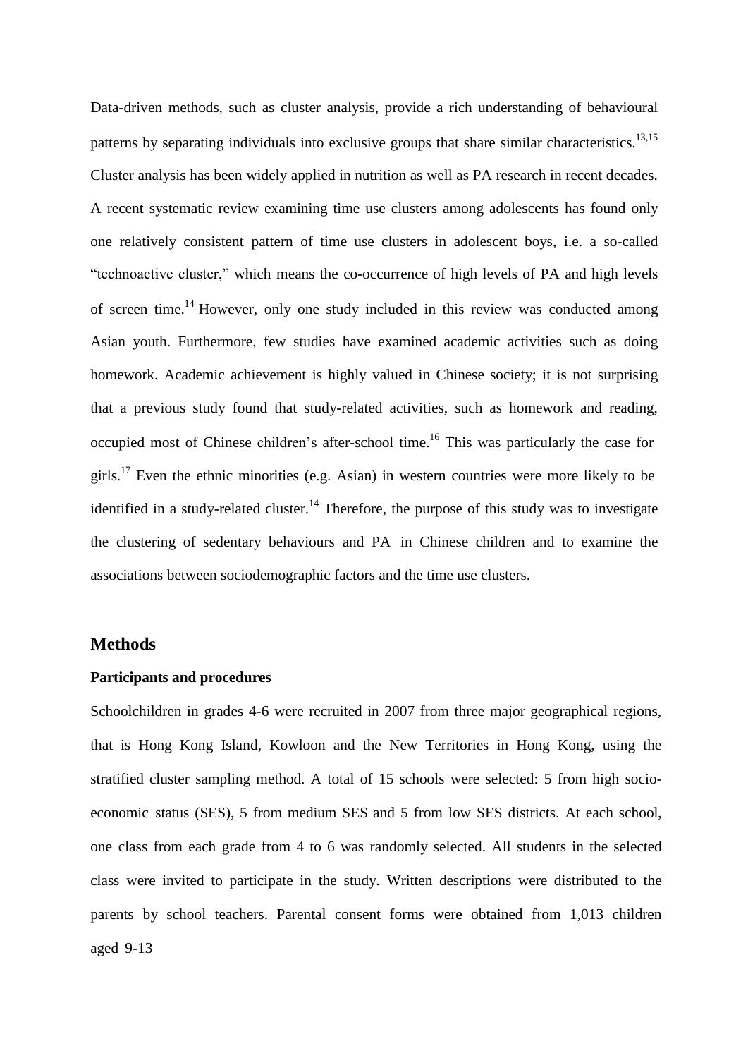Data-driven methods, such as cluster analysis, provide a rich understanding of behavioural patterns by separating individuals into exclusive groups that share similar characteristics.<sup>13,15</sup> Cluster analysis has been widely applied in nutrition as well as PA research in recent decades. A recent systematic review examining time use clusters among adolescents has found only one relatively consistent pattern of time use clusters in adolescent boys, i.e. a so-called "technoactive cluster," which means the co-occurrence of high levels of PA and high levels of screen time.<sup>14</sup> However, only one study included in this review was conducted among Asian youth. Furthermore, few studies have examined academic activities such as doing homework. Academic achievement is highly valued in Chinese society; it is not surprising that a previous study found that study-related activities, such as homework and reading, occupied most of Chinese children's after-school time.<sup>16</sup> This was particularly the case for girls.<sup>17</sup> Even the ethnic minorities (e.g. Asian) in western countries were more likely to be identified in a study-related cluster.<sup>14</sup> Therefore, the purpose of this study was to investigate the clustering of sedentary behaviours and PA in Chinese children and to examine the associations between sociodemographic factors and the time use clusters.

# **Methods**

### **Participants and procedures**

Schoolchildren in grades 4-6 were recruited in 2007 from three major geographical regions, that is Hong Kong Island, Kowloon and the New Territories in Hong Kong, using the stratified cluster sampling method. A total of 15 schools were selected: 5 from high socioeconomic status (SES), 5 from medium SES and 5 from low SES districts. At each school, one class from each grade from 4 to 6 was randomly selected. All students in the selected class were invited to participate in the study. Written descriptions were distributed to the parents by school teachers. Parental consent forms were obtained from 1,013 children aged 9-13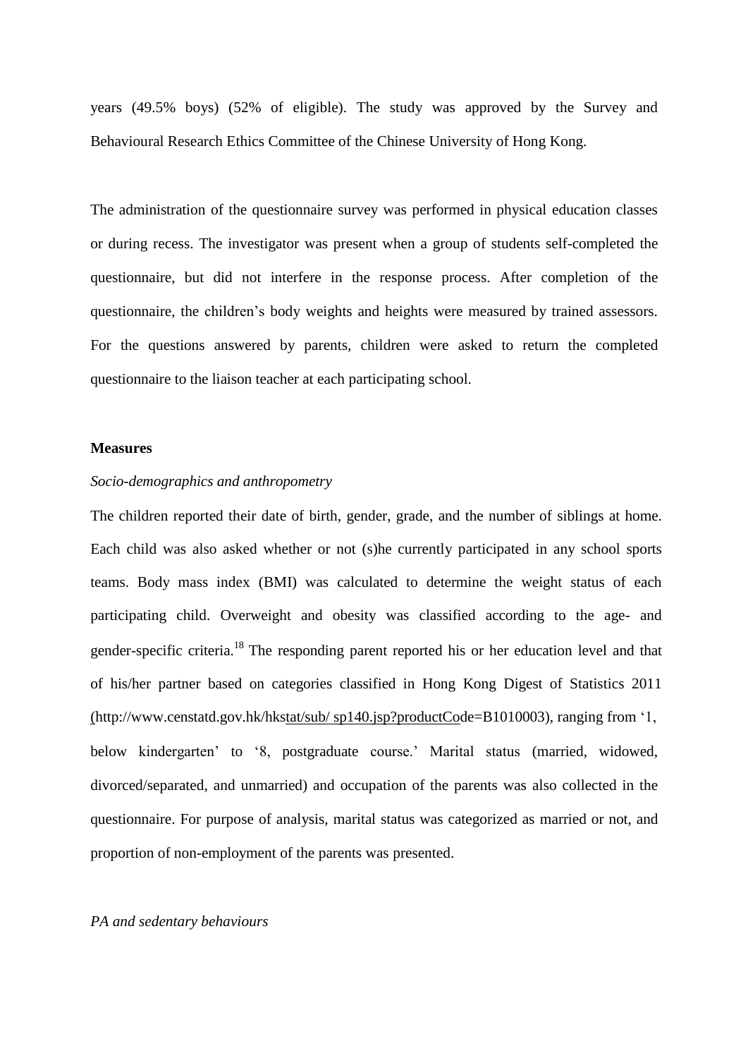years (49.5% boys) (52% of eligible). The study was approved by the Survey and Behavioural Research Ethics Committee of the Chinese University of Hong Kong.

The administration of the questionnaire survey was performed in physical education classes or during recess. The investigator was present when a group of students self-completed the questionnaire, but did not interfere in the response process. After completion of the questionnaire, the children's body weights and heights were measured by trained assessors. For the questions answered by parents, children were asked to return the completed questionnaire to the liaison teacher at each participating school.

### **Measures**

### *Socio-demographics and anthropometry*

The children reported their date of birth, gender, grade, and the number of siblings at home. Each child was also asked whether or not (s)he currently participated in any school sports teams. Body mass index (BMI) was calculated to determine the weight status of each participating child. Overweight and obesity was classified according to the age- and gender-specific criteria.<sup>18</sup> The responding parent reported his or her education level and that of his/her partner based on categories classified in Hong Kong Digest of Statistics 2011 [\(http://www.censtatd.gov.hk/hkstat/sub/](http://www.censtatd.gov.hk/hkstat/sub/) sp140.jsp?productCode=B1010003), ranging from '1, below kindergarten' to '8, postgraduate course.' Marital status (married, widowed, divorced/separated, and unmarried) and occupation of the parents was also collected in the questionnaire. For purpose of analysis, marital status was categorized as married or not, and proportion of non-employment of the parents was presented.

### *PA and sedentary behaviours*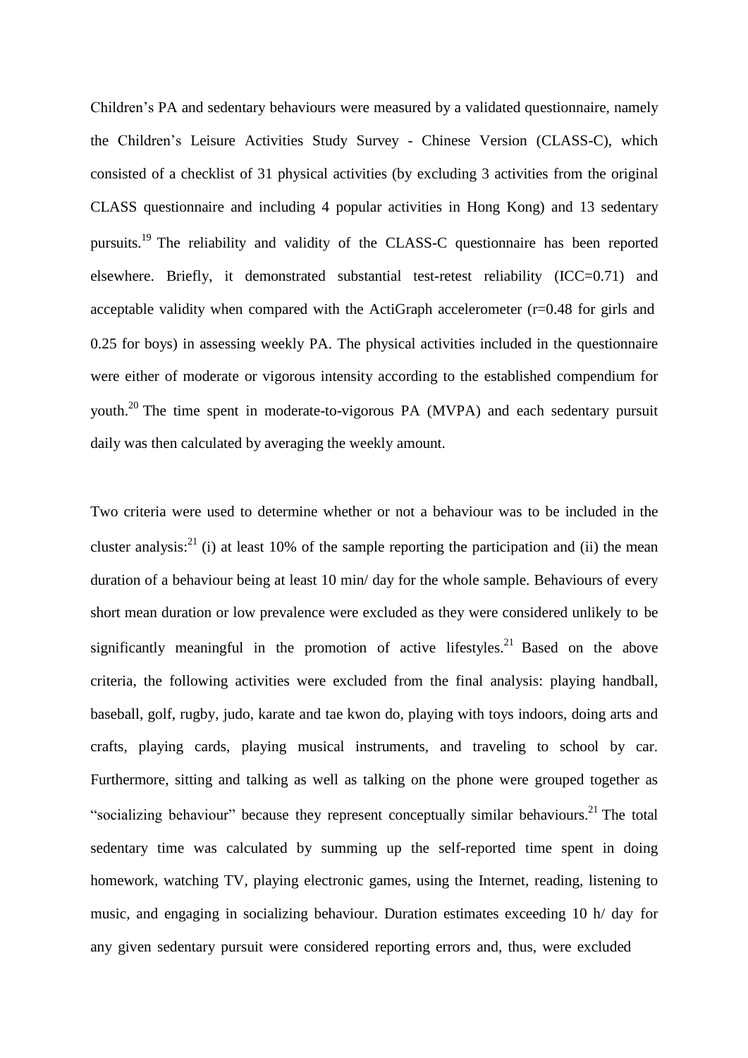Children's PA and sedentary behaviours were measured by a validated questionnaire, namely the Children's Leisure Activities Study Survey - Chinese Version (CLASS-C), which consisted of a checklist of 31 physical activities (by excluding 3 activities from the original CLASS questionnaire and including 4 popular activities in Hong Kong) and 13 sedentary pursuits.<sup>19</sup> The reliability and validity of the CLASS-C questionnaire has been reported elsewhere. Briefly, it demonstrated substantial test-retest reliability (ICC=0.71) and acceptable validity when compared with the ActiGraph accelerometer (r=0.48 for girls and 0.25 for boys) in assessing weekly PA. The physical activities included in the questionnaire were either of moderate or vigorous intensity according to the established compendium for youth.<sup>20</sup> The time spent in moderate-to-vigorous PA (MVPA) and each sedentary pursuit daily was then calculated by averaging the weekly amount.

Two criteria were used to determine whether or not a behaviour was to be included in the cluster analysis:<sup>21</sup> (i) at least 10% of the sample reporting the participation and (ii) the mean duration of a behaviour being at least 10 min/ day for the whole sample. Behaviours of every short mean duration or low prevalence were excluded as they were considered unlikely to be significantly meaningful in the promotion of active lifestyles.<sup>21</sup> Based on the above criteria, the following activities were excluded from the final analysis: playing handball, baseball, golf, rugby, judo, karate and tae kwon do, playing with toys indoors, doing arts and crafts, playing cards, playing musical instruments, and traveling to school by car. Furthermore, sitting and talking as well as talking on the phone were grouped together as "socializing behaviour" because they represent conceptually similar behaviours. $^{21}$  The total sedentary time was calculated by summing up the self-reported time spent in doing homework, watching TV, playing electronic games, using the Internet, reading, listening to music, and engaging in socializing behaviour. Duration estimates exceeding 10 h/ day for any given sedentary pursuit were considered reporting errors and, thus, were excluded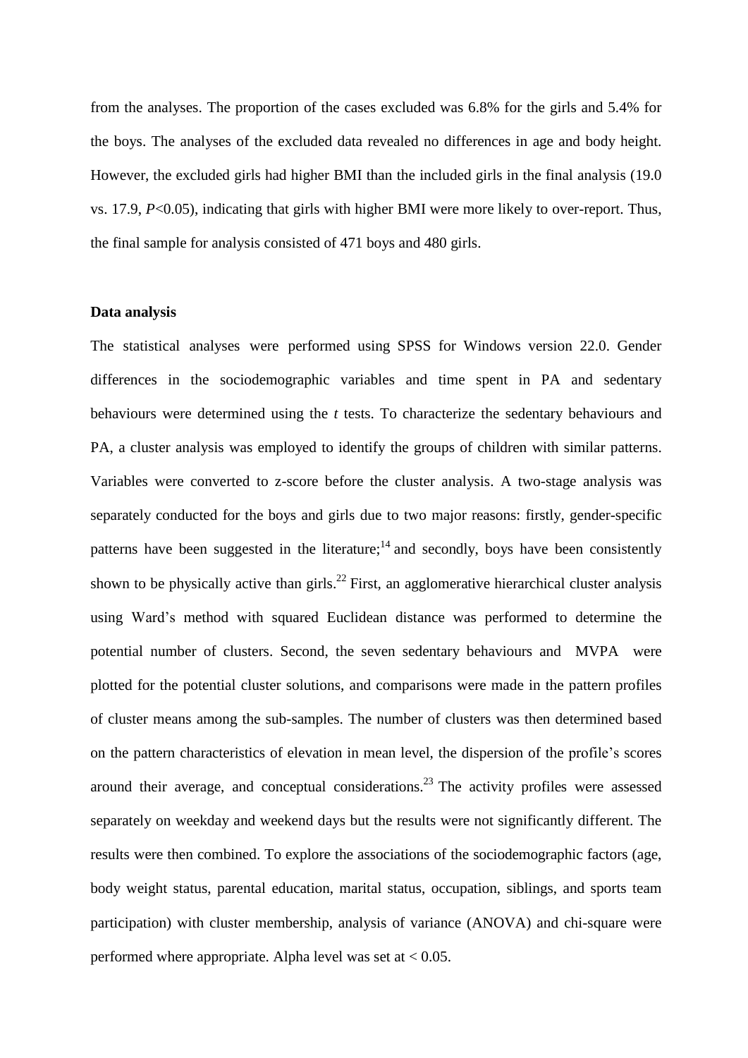from the analyses. The proportion of the cases excluded was 6.8% for the girls and 5.4% for the boys. The analyses of the excluded data revealed no differences in age and body height. However, the excluded girls had higher BMI than the included girls in the final analysis (19.0 vs. 17.9, *P*<0.05), indicating that girls with higher BMI were more likely to over-report. Thus, the final sample for analysis consisted of 471 boys and 480 girls.

## **Data analysis**

The statistical analyses were performed using SPSS for Windows version 22.0. Gender differences in the sociodemographic variables and time spent in PA and sedentary behaviours were determined using the *t* tests. To characterize the sedentary behaviours and PA, a cluster analysis was employed to identify the groups of children with similar patterns. Variables were converted to z-score before the cluster analysis. A two-stage analysis was separately conducted for the boys and girls due to two major reasons: firstly, gender-specific patterns have been suggested in the literature;<sup>14</sup> and secondly, boys have been consistently shown to be physically active than girls.<sup>22</sup> First, an agglomerative hierarchical cluster analysis using Ward's method with squared Euclidean distance was performed to determine the potential number of clusters. Second, the seven sedentary behaviours and MVPA were plotted for the potential cluster solutions, and comparisons were made in the pattern profiles of cluster means among the sub-samples. The number of clusters was then determined based on the pattern characteristics of elevation in mean level, the dispersion of the profile's scores around their average, and conceptual considerations.<sup>23</sup> The activity profiles were assessed separately on weekday and weekend days but the results were not significantly different. The results were then combined. To explore the associations of the sociodemographic factors (age, body weight status, parental education, marital status, occupation, siblings, and sports team participation) with cluster membership, analysis of variance (ANOVA) and chi-square were performed where appropriate. Alpha level was set at < 0.05.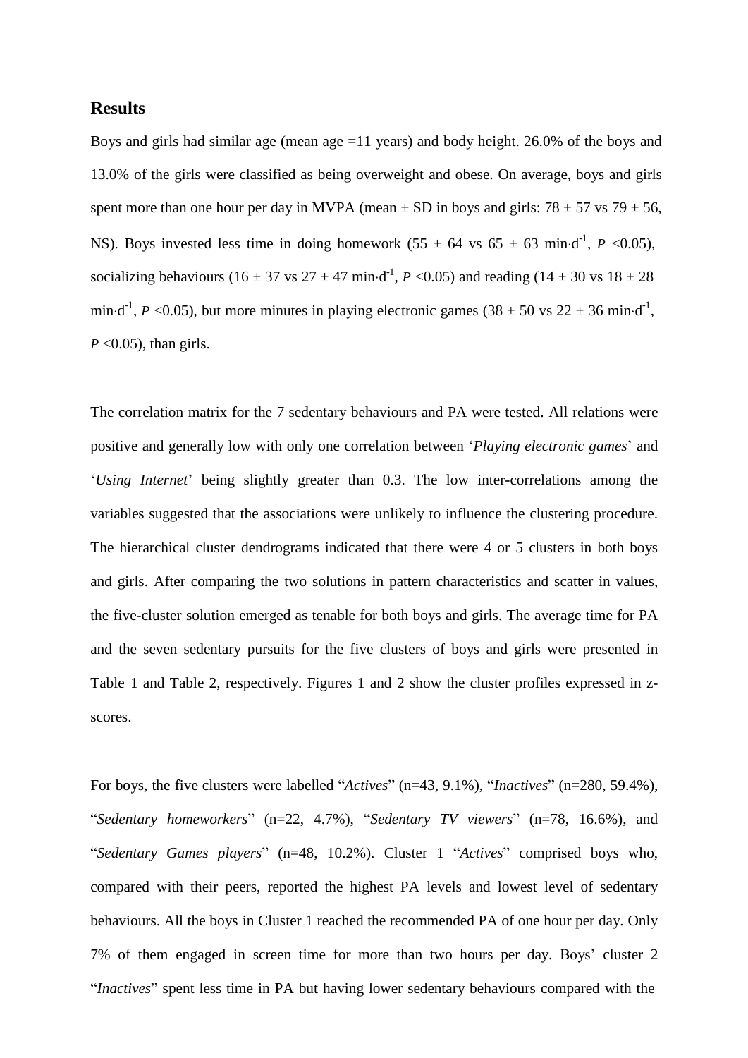# **Results**

Boys and girls had similar age (mean age  $=11$  years) and body height. 26.0% of the boys and 13.0% of the girls were classified as being overweight and obese. On average, boys and girls spent more than one hour per day in MVPA (mean  $\pm$  SD in boys and girls: 78  $\pm$  57 vs 79  $\pm$  56, NS). Boys invested less time in doing homework  $(55 \pm 64 \text{ vs } 65 \pm 63 \text{ min-d}^1, P \le 0.05)$ , socializing behaviours (16  $\pm$  37 vs 27  $\pm$  47 min·d<sup>-1</sup>, *P* <0.05) and reading (14  $\pm$  30 vs 18  $\pm$  28 min·d<sup>-1</sup>, *P* <0.05), but more minutes in playing electronic games (38  $\pm$  50 vs 22  $\pm$  36 min·d<sup>-1</sup>, *P* <0.05), than girls.

The correlation matrix for the 7 sedentary behaviours and PA were tested. All relations were positive and generally low with only one correlation between '*Playing electronic games*' and '*Using Internet*' being slightly greater than 0.3. The low inter-correlations among the variables suggested that the associations were unlikely to influence the clustering procedure. The hierarchical cluster dendrograms indicated that there were 4 or 5 clusters in both boys and girls. After comparing the two solutions in pattern characteristics and scatter in values, the five-cluster solution emerged as tenable for both boys and girls. The average time for PA and the seven sedentary pursuits for the five clusters of boys and girls were presented in Table 1 and Table 2, respectively. Figures 1 and 2 show the cluster profiles expressed in zscores.

For boys, the five clusters were labelled "*Actives*" (n=43, 9.1%), "*Inactives*" (n=280, 59.4%), "*Sedentary homeworkers*" (n=22, 4.7%), "*Sedentary TV viewers*" (n=78, 16.6%), and "*Sedentary Games players*" (n=48, 10.2%). Cluster 1 "*Actives*" comprised boys who, compared with their peers, reported the highest PA levels and lowest level of sedentary behaviours. All the boys in Cluster 1 reached the recommended PA of one hour per day. Only 7% of them engaged in screen time for more than two hours per day. Boys' cluster 2 "*Inactives*" spent less time in PA but having lower sedentary behaviours compared with the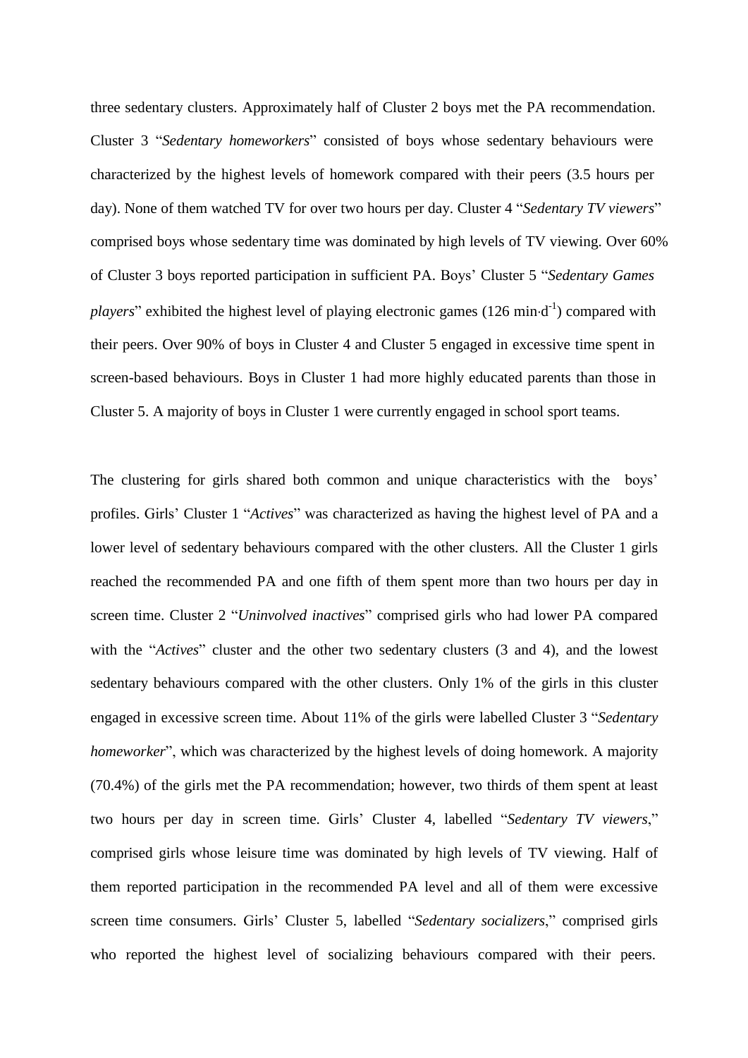three sedentary clusters. Approximately half of Cluster 2 boys met the PA recommendation. Cluster 3 "*Sedentary homeworkers*" consisted of boys whose sedentary behaviours were characterized by the highest levels of homework compared with their peers (3.5 hours per day). None of them watched TV for over two hours per day. Cluster 4 "*Sedentary TV viewers*" comprised boys whose sedentary time was dominated by high levels of TV viewing. Over 60% of Cluster 3 boys reported participation in sufficient PA. Boys' Cluster 5 "*Sedentary Games* players" exhibited the highest level of playing electronic games (126 min·d<sup>-1</sup>) compared with their peers. Over 90% of boys in Cluster 4 and Cluster 5 engaged in excessive time spent in screen-based behaviours. Boys in Cluster 1 had more highly educated parents than those in Cluster 5. A majority of boys in Cluster 1 were currently engaged in school sport teams.

The clustering for girls shared both common and unique characteristics with the boys' profiles. Girls' Cluster 1 "*Actives*" was characterized as having the highest level of PA and a lower level of sedentary behaviours compared with the other clusters. All the Cluster 1 girls reached the recommended PA and one fifth of them spent more than two hours per day in screen time. Cluster 2 "*Uninvolved inactives*" comprised girls who had lower PA compared with the "*Actives*" cluster and the other two sedentary clusters (3 and 4), and the lowest sedentary behaviours compared with the other clusters. Only 1% of the girls in this cluster engaged in excessive screen time. About 11% of the girls were labelled Cluster 3 "*Sedentary homeworker*", which was characterized by the highest levels of doing homework. A majority (70.4%) of the girls met the PA recommendation; however, two thirds of them spent at least two hours per day in screen time. Girls' Cluster 4, labelled "*Sedentary TV viewers*," comprised girls whose leisure time was dominated by high levels of TV viewing. Half of them reported participation in the recommended PA level and all of them were excessive screen time consumers. Girls' Cluster 5, labelled "*Sedentary socializers*," comprised girls who reported the highest level of socializing behaviours compared with their peers.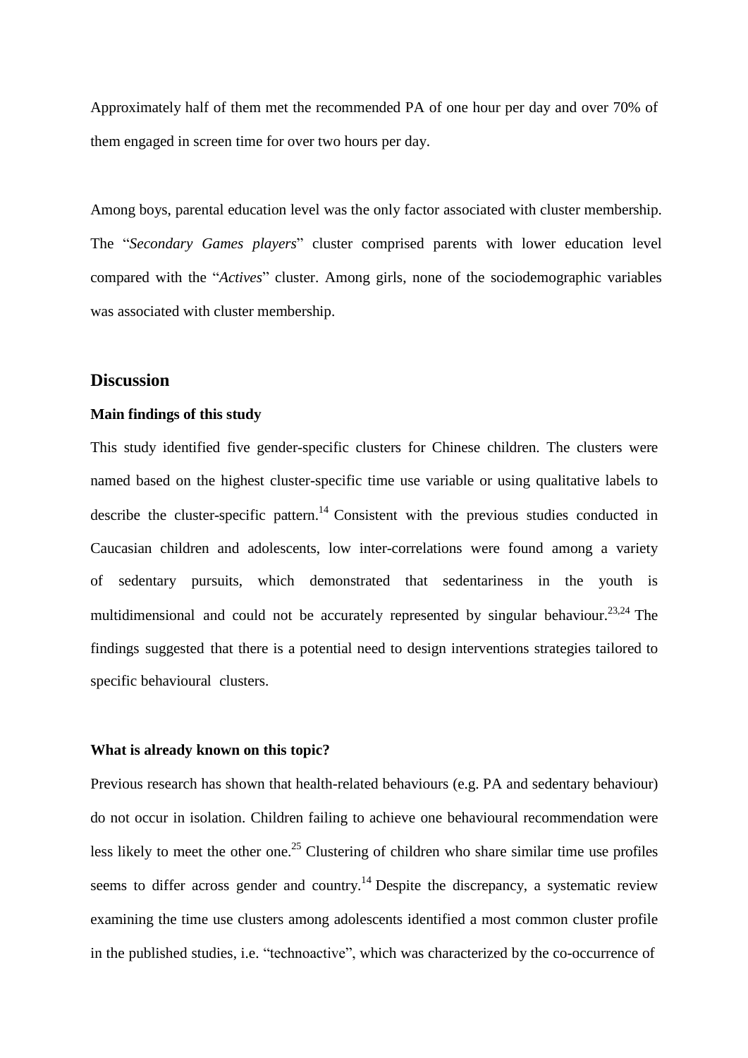Approximately half of them met the recommended PA of one hour per day and over 70% of them engaged in screen time for over two hours per day.

Among boys, parental education level was the only factor associated with cluster membership. The "*Secondary Games players*" cluster comprised parents with lower education level compared with the "*Actives*" cluster. Among girls, none of the sociodemographic variables was associated with cluster membership.

# **Discussion**

### **Main findings of this study**

This study identified five gender-specific clusters for Chinese children. The clusters were named based on the highest cluster-specific time use variable or using qualitative labels to describe the cluster-specific pattern.<sup>14</sup> Consistent with the previous studies conducted in Caucasian children and adolescents, low inter-correlations were found among a variety of sedentary pursuits, which demonstrated that sedentariness in the youth is multidimensional and could not be accurately represented by singular behaviour.<sup>23,24</sup> The findings suggested that there is a potential need to design interventions strategies tailored to specific behavioural clusters.

#### **What is already known on this topic?**

Previous research has shown that health-related behaviours (e.g. PA and sedentary behaviour) do not occur in isolation. Children failing to achieve one behavioural recommendation were less likely to meet the other one.<sup>25</sup> Clustering of children who share similar time use profiles seems to differ across gender and country.<sup>14</sup> Despite the discrepancy, a systematic review examining the time use clusters among adolescents identified a most common cluster profile in the published studies, i.e. "technoactive", which was characterized by the co-occurrence of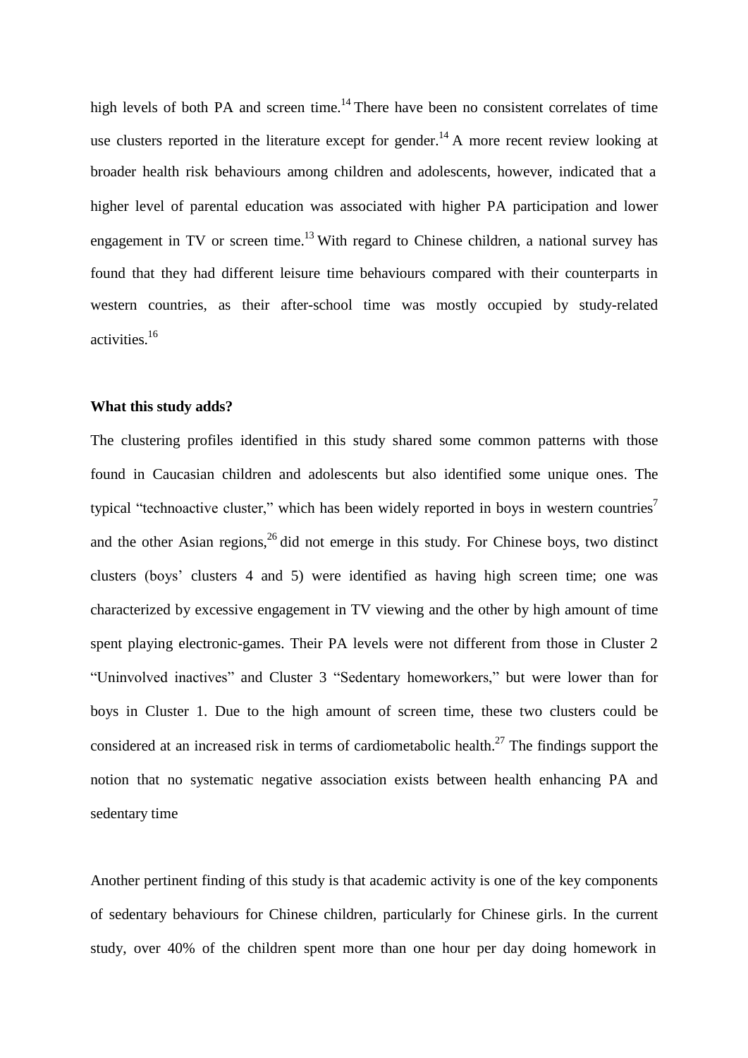high levels of both PA and screen time.<sup>14</sup> There have been no consistent correlates of time use clusters reported in the literature except for gender.<sup>14</sup> A more recent review looking at broader health risk behaviours among children and adolescents, however, indicated that a higher level of parental education was associated with higher PA participation and lower engagement in TV or screen time.<sup>13</sup> With regard to Chinese children, a national survey has found that they had different leisure time behaviours compared with their counterparts in western countries, as their after-school time was mostly occupied by study-related activities.<sup>16</sup>

## **What this study adds?**

The clustering profiles identified in this study shared some common patterns with those found in Caucasian children and adolescents but also identified some unique ones. The typical "technoactive cluster," which has been widely reported in boys in western countries<sup>7</sup> and the other Asian regions,  $26$  did not emerge in this study. For Chinese boys, two distinct clusters (boys' clusters 4 and 5) were identified as having high screen time; one was characterized by excessive engagement in TV viewing and the other by high amount of time spent playing electronic-games. Their PA levels were not different from those in Cluster 2 "Uninvolved inactives" and Cluster 3 "Sedentary homeworkers," but were lower than for boys in Cluster 1. Due to the high amount of screen time, these two clusters could be considered at an increased risk in terms of cardiometabolic health.<sup>27</sup> The findings support the notion that no systematic negative association exists between health enhancing PA and sedentary time

Another pertinent finding of this study is that academic activity is one of the key components of sedentary behaviours for Chinese children, particularly for Chinese girls. In the current study, over 40% of the children spent more than one hour per day doing homework in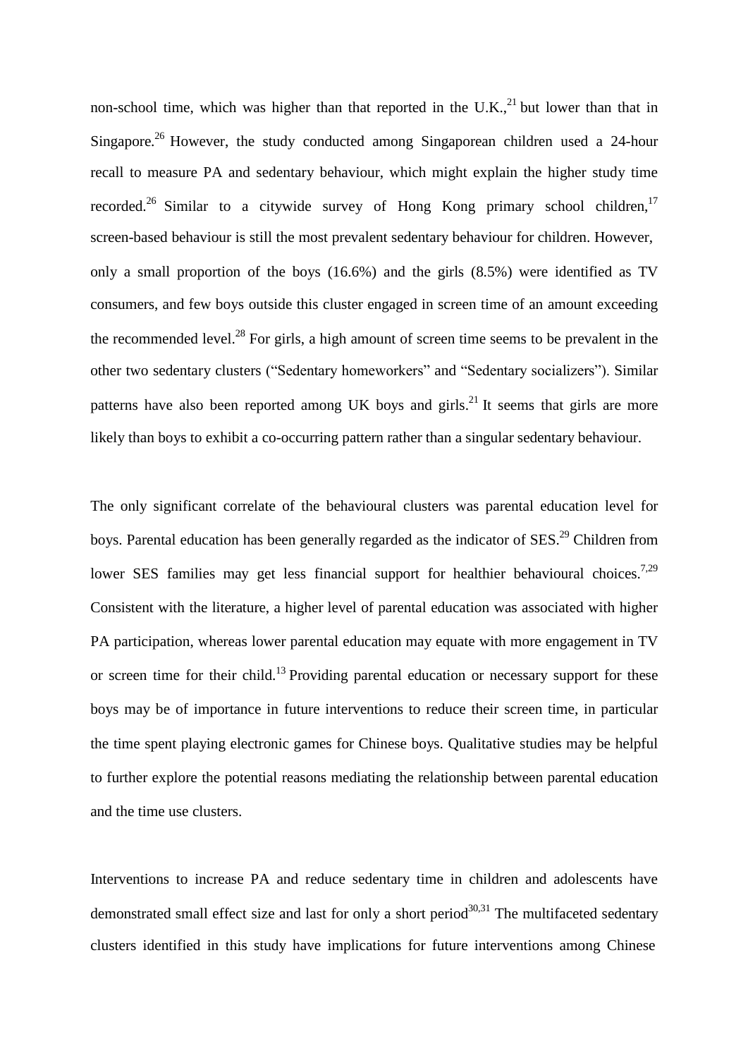non-school time, which was higher than that reported in the U.K., $^{21}$  but lower than that in Singapore.<sup>26</sup> However, the study conducted among Singaporean children used a 24-hour recall to measure PA and sedentary behaviour, which might explain the higher study time recorded.<sup>26</sup> Similar to a citywide survey of Hong Kong primary school children,<sup>17</sup> screen-based behaviour is still the most prevalent sedentary behaviour for children. However, only a small proportion of the boys (16.6%) and the girls (8.5%) were identified as TV consumers, and few boys outside this cluster engaged in screen time of an amount exceeding the recommended level.<sup>28</sup> For girls, a high amount of screen time seems to be prevalent in the other two sedentary clusters ("Sedentary homeworkers" and "Sedentary socializers"). Similar patterns have also been reported among UK boys and girls.<sup>21</sup> It seems that girls are more likely than boys to exhibit a co-occurring pattern rather than a singular sedentary behaviour.

The only significant correlate of the behavioural clusters was parental education level for boys. Parental education has been generally regarded as the indicator of SES.<sup>29</sup> Children from lower SES families may get less financial support for healthier behavioural choices.<sup>7,29</sup> Consistent with the literature, a higher level of parental education was associated with higher PA participation, whereas lower parental education may equate with more engagement in TV or screen time for their child.<sup>13</sup> Providing parental education or necessary support for these boys may be of importance in future interventions to reduce their screen time, in particular the time spent playing electronic games for Chinese boys. Qualitative studies may be helpful to further explore the potential reasons mediating the relationship between parental education and the time use clusters.

Interventions to increase PA and reduce sedentary time in children and adolescents have demonstrated small effect size and last for only a short period<sup>30,31</sup> The multifaceted sedentary clusters identified in this study have implications for future interventions among Chinese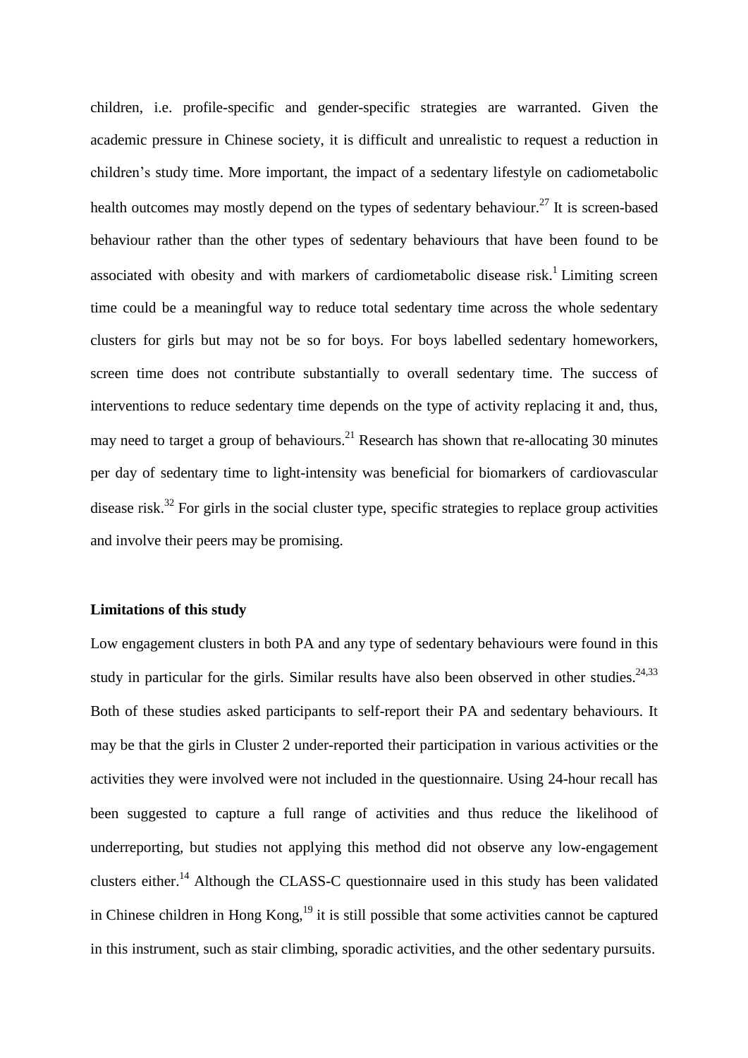children, i.e. profile-specific and gender-specific strategies are warranted. Given the academic pressure in Chinese society, it is difficult and unrealistic to request a reduction in children's study time. More important, the impact of a sedentary lifestyle on cadiometabolic health outcomes may mostly depend on the types of sedentary behaviour.<sup>27</sup> It is screen-based behaviour rather than the other types of sedentary behaviours that have been found to be associated with obesity and with markers of cardiometabolic disease risk.<sup>1</sup> Limiting screen time could be a meaningful way to reduce total sedentary time across the whole sedentary clusters for girls but may not be so for boys. For boys labelled sedentary homeworkers, screen time does not contribute substantially to overall sedentary time. The success of interventions to reduce sedentary time depends on the type of activity replacing it and, thus, may need to target a group of behaviours.<sup>21</sup> Research has shown that re-allocating 30 minutes per day of sedentary time to light-intensity was beneficial for biomarkers of cardiovascular disease risk.<sup>32</sup> For girls in the social cluster type, specific strategies to replace group activities and involve their peers may be promising.

### **Limitations of this study**

Low engagement clusters in both PA and any type of sedentary behaviours were found in this study in particular for the girls. Similar results have also been observed in other studies.<sup>24,33</sup> Both of these studies asked participants to self-report their PA and sedentary behaviours. It may be that the girls in Cluster 2 under-reported their participation in various activities or the activities they were involved were not included in the questionnaire. Using 24-hour recall has been suggested to capture a full range of activities and thus reduce the likelihood of underreporting, but studies not applying this method did not observe any low-engagement clusters either.<sup>14</sup> Although the CLASS-C questionnaire used in this study has been validated in Chinese children in Hong Kong,<sup>19</sup> it is still possible that some activities cannot be captured in this instrument, such as stair climbing, sporadic activities, and the other sedentary pursuits.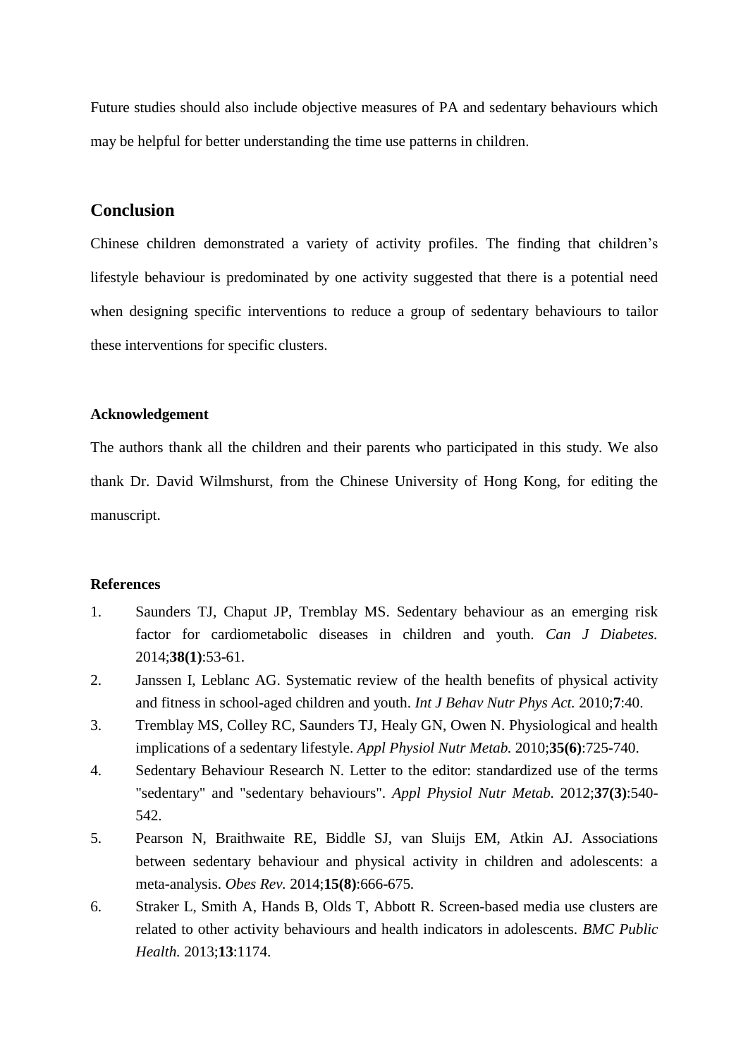Future studies should also include objective measures of PA and sedentary behaviours which may be helpful for better understanding the time use patterns in children.

# **Conclusion**

Chinese children demonstrated a variety of activity profiles. The finding that children's lifestyle behaviour is predominated by one activity suggested that there is a potential need when designing specific interventions to reduce a group of sedentary behaviours to tailor these interventions for specific clusters.

## **Acknowledgement**

The authors thank all the children and their parents who participated in this study. We also thank Dr. David Wilmshurst, from the Chinese University of Hong Kong, for editing the manuscript.

### **References**

- 1. Saunders TJ, Chaput JP, Tremblay MS. Sedentary behaviour as an emerging risk factor for cardiometabolic diseases in children and youth. *Can J Diabetes.* 2014;**38(1)**:53-61.
- 2. Janssen I, Leblanc AG. Systematic review of the health benefits of physical activity and fitness in school-aged children and youth. *Int J Behav Nutr Phys Act.* 2010;**7**:40.
- 3. Tremblay MS, Colley RC, Saunders TJ, Healy GN, Owen N. Physiological and health implications of a sedentary lifestyle. *Appl Physiol Nutr Metab.* 2010;**35(6)**:725-740.
- 4. Sedentary Behaviour Research N. Letter to the editor: standardized use of the terms "sedentary" and "sedentary behaviours". *Appl Physiol Nutr Metab.* 2012;**37(3)**:540- 542.
- 5. Pearson N, Braithwaite RE, Biddle SJ, van Sluijs EM, Atkin AJ. Associations between sedentary behaviour and physical activity in children and adolescents: a meta-analysis. *Obes Rev.* 2014;**15(8)**:666-675.
- 6. Straker L, Smith A, Hands B, Olds T, Abbott R. Screen-based media use clusters are related to other activity behaviours and health indicators in adolescents. *BMC Public Health.* 2013;**13**:1174.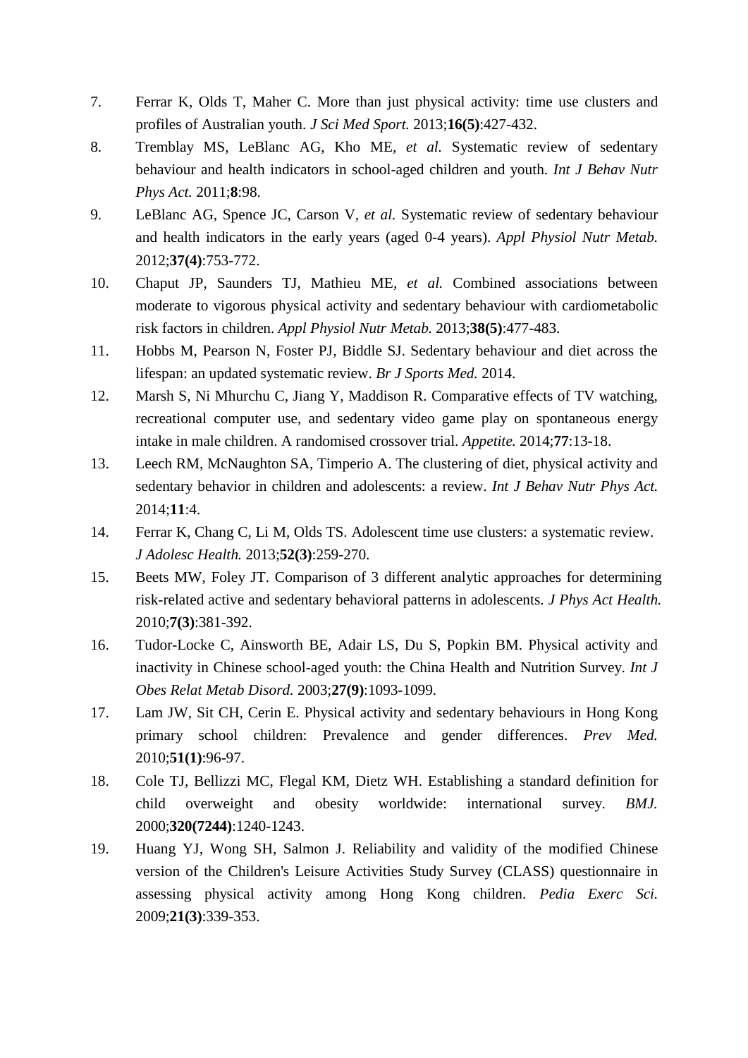- 7. Ferrar K, Olds T, Maher C. More than just physical activity: time use clusters and profiles of Australian youth. *J Sci Med Sport.* 2013;**16(5)**:427-432.
- 8. Tremblay MS, LeBlanc AG, Kho ME*, et al.* Systematic review of sedentary behaviour and health indicators in school-aged children and youth. *Int J Behav Nutr Phys Act.* 2011;**8**:98.
- 9. LeBlanc AG, Spence JC, Carson V*, et al.* Systematic review of sedentary behaviour and health indicators in the early years (aged 0-4 years). *Appl Physiol Nutr Metab.* 2012;**37(4)**:753-772.
- 10. Chaput JP, Saunders TJ, Mathieu ME*, et al.* Combined associations between moderate to vigorous physical activity and sedentary behaviour with cardiometabolic risk factors in children. *Appl Physiol Nutr Metab.* 2013;**38(5)**:477-483.
- 11. Hobbs M, Pearson N, Foster PJ, Biddle SJ. Sedentary behaviour and diet across the lifespan: an updated systematic review. *Br J Sports Med.* 2014.
- 12. Marsh S, Ni Mhurchu C, Jiang Y, Maddison R. Comparative effects of TV watching, recreational computer use, and sedentary video game play on spontaneous energy intake in male children. A randomised crossover trial. *Appetite.* 2014;**77**:13-18.
- 13. Leech RM, McNaughton SA, Timperio A. The clustering of diet, physical activity and sedentary behavior in children and adolescents: a review. *Int J Behav Nutr Phys Act.* 2014;**11**:4.
- 14. Ferrar K, Chang C, Li M, Olds TS. Adolescent time use clusters: a systematic review. *J Adolesc Health.* 2013;**52(3)**:259-270.
- 15. Beets MW, Foley JT. Comparison of 3 different analytic approaches for determining risk-related active and sedentary behavioral patterns in adolescents. *J Phys Act Health.* 2010;**7(3)**:381-392.
- 16. Tudor-Locke C, Ainsworth BE, Adair LS, Du S, Popkin BM. Physical activity and inactivity in Chinese school-aged youth: the China Health and Nutrition Survey. *Int J Obes Relat Metab Disord.* 2003;**27(9)**:1093-1099.
- 17. Lam JW, Sit CH, Cerin E. Physical activity and sedentary behaviours in Hong Kong primary school children: Prevalence and gender differences. *Prev Med.* 2010;**51(1)**:96-97.
- 18. Cole TJ, Bellizzi MC, Flegal KM, Dietz WH. Establishing a standard definition for child overweight and obesity worldwide: international survey. *BMJ.* 2000;**320(7244)**:1240-1243.
- 19. Huang YJ, Wong SH, Salmon J. Reliability and validity of the modified Chinese version of the Children's Leisure Activities Study Survey (CLASS) questionnaire in assessing physical activity among Hong Kong children. *Pedia Exerc Sci.* 2009;**21(3)**:339-353.